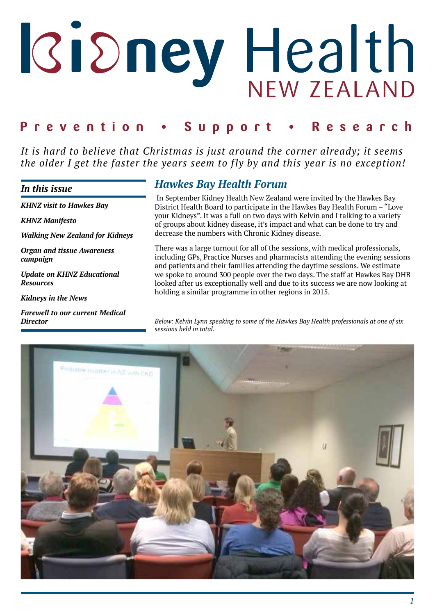# Ridney Health

#### Prevention . Support Research

*It is hard to believe that Christmas is just around the corner already; it seems the older I get the faster the years seem to fly by and this year is no exception!*

#### *In this issue*

*KHNZ visit to Hawkes Bay*

*KHNZ Manifesto*

*Walking New Zealand for Kidneys*

*Organ and tissue Awareness campaign*

*Update on KHNZ Educational Resources*

*Kidneys in the News*

*Farewell to our current Medical Director*

# *Hawkes Bay Health Forum*

 In September Kidney Health New Zealand were invited by the Hawkes Bay District Health Board to participate in the Hawkes Bay Health Forum – "Love your Kidneys". It was a full on two days with Kelvin and I talking to a variety of groups about kidney disease, it's impact and what can be done to try and decrease the numbers with Chronic Kidney disease.

There was a large turnout for all of the sessions, with medical professionals, including GPs, Practice Nurses and pharmacists attending the evening sessions and patients and their families attending the daytime sessions. We estimate we spoke to around 300 people over the two days. The staff at Hawkes Bay DHB looked after us exceptionally well and due to its success we are now looking at holding a similar programme in other regions in 2015.

*Below: Kelvin Lynn speaking to some of the Hawkes Bay Health professionals at one of six sessions held in total.*

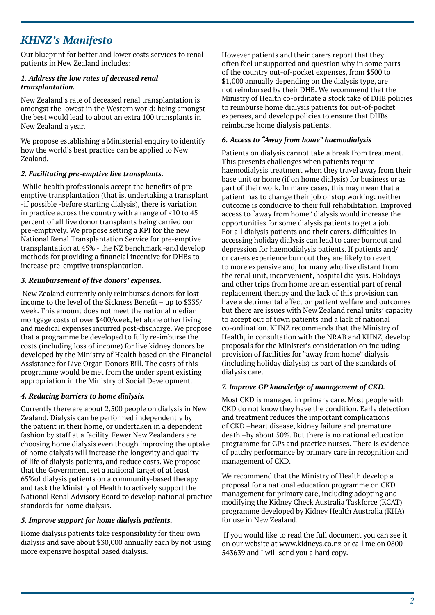# *KHNZ's Manifesto*

Our blueprint for better and lower costs services to renal patients in New Zealand includes:

#### *1. Address the low rates of deceased renal transplantation.*

New Zealand's rate of deceased renal transplantation is amongst the lowest in the Western world; being amongst the best would lead to about an extra 100 transplants in New Zealand a year.

We propose establishing a Ministerial enquiry to identify how the world's best practice can be applied to New Zealand.

#### *2. Facilitating pre-emptive live transplants.*

 While health professionals accept the benefits of preemptive transplantation (that is, undertaking a transplant -if possible -before starting dialysis), there is variation in practice across the country with a range of <10 to 45 percent of all live donor transplants being carried our pre-emptively. We propose setting a KPI for the new National Renal Transplantation Service for pre-emptive transplantation at 45% - the NZ benchmark -and develop methods for providing a financial incentive for DHBs to increase pre-emptive transplantation.

#### *3. Reimbursement of live donors' expenses.*

 New Zealand currently only reimburses donors for lost income to the level of the Sickness Benefit – up to \$335/ week. This amount does not meet the national median mortgage costs of over \$400/week, let alone other living and medical expenses incurred post-discharge. We propose that a programme be developed to fully re-imburse the costs (including loss of income) for live kidney donors be developed by the Ministry of Health based on the Financial Assistance for Live Organ Donors Bill. The costs of this programme would be met from the under spent existing appropriation in the Ministry of Social Development.

#### *4. Reducing barriers to home dialysis.*

Currently there are about 2,500 people on dialysis in New Zealand. Dialysis can be performed independently by the patient in their home, or undertaken in a dependent fashion by staff at a facility. Fewer New Zealanders are choosing home dialysis even though improving the uptake of home dialysis will increase the longevity and quality of life of dialysis patients, and reduce costs. We propose that the Government set a national target of at least 65%of dialysis patients on a community-based therapy and task the Ministry of Health to actively support the National Renal Advisory Board to develop national practice standards for home dialysis.

#### *5. Improve support for home dialysis patients.*

Home dialysis patients take responsibility for their own dialysis and save about \$30,000 annually each by not using more expensive hospital based dialysis.

However patients and their carers report that they often feel unsupported and question why in some parts of the country out-of-pocket expenses, from \$500 to \$1,000 annually depending on the dialysis type, are not reimbursed by their DHB. We recommend that the Ministry of Health co-ordinate a stock take of DHB policies to reimburse home dialysis patients for out-of-pocket expenses, and develop policies to ensure that DHBs reimburse home dialysis patients.

#### *6. Access to "Away from home" haemodialysis*

Patients on dialysis cannot take a break from treatment. This presents challenges when patients require haemodialysis treatment when they travel away from their base unit or home (if on home dialysis) for business or as part of their work. In many cases, this may mean that a patient has to change their job or stop working: neither outcome is conducive to their full rehabilitation. Improved access to "away from home" dialysis would increase the opportunities for some dialysis patients to get a job. For all dialysis patients and their carers, difficulties in accessing holiday dialysis can lead to carer burnout and depression for haemodialysis patients. If patients and/ or carers experience burnout they are likely to revert to more expensive and, for many who live distant from the renal unit, inconvenient, hospital dialysis. Holidays and other trips from home are an essential part of renal replacement therapy and the lack of this provision can have a detrimental effect on patient welfare and outcomes but there are issues with New Zealand renal units' capacity to accept out of town patients and a lack of national co-ordination. KHNZ recommends that the Ministry of Health, in consultation with the NRAB and KHNZ, develop proposals for the Minister's consideration on including provision of facilities for "away from home" dialysis (including holiday dialysis) as part of the standards of dialysis care.

#### *7. Improve GP knowledge of management of CKD.*

Most CKD is managed in primary care. Most people with CKD do not know they have the condition. Early detection and treatment reduces the important complications of CKD –heart disease, kidney failure and premature death –by about 50%. But there is no national education programme for GPs and practice nurses. There is evidence of patchy performance by primary care in recognition and management of CKD.

We recommend that the Ministry of Health develop a proposal for a national education programme on CKD management for primary care, including adopting and modifying the Kidney Check Australia Taskforce (KCAT) programme developed by Kidney Health Australia (KHA) for use in New Zealand.

 If you would like to read the full document you can see it on our website at www.kidneys.co.nz or call me on 0800 543639 and I will send you a hard copy.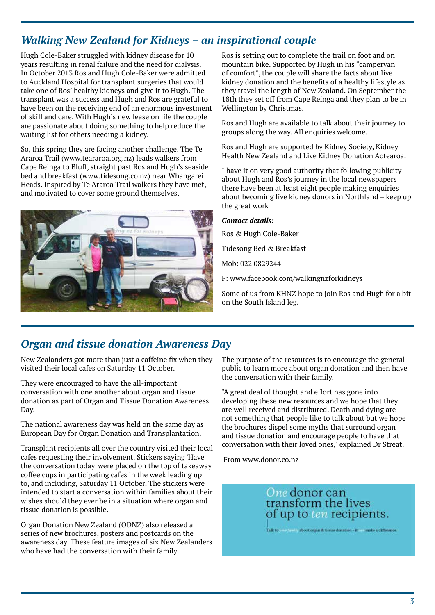# *Walking New Zealand for Kidneys – an inspirational couple*

Hugh Cole-Baker struggled with kidney disease for 10 years resulting in renal failure and the need for dialysis. In October 2013 Ros and Hugh Cole-Baker were admitted to Auckland Hospital for transplant surgeries that would take one of Ros' healthy kidneys and give it to Hugh. The transplant was a success and Hugh and Ros are grateful to have been on the receiving end of an enormous investment of skill and care. With Hugh's new lease on life the couple are passionate about doing something to help reduce the waiting list for others needing a kidney.

So, this spring they are facing another challenge. The Te Araroa Trail (www.teararoa.org.nz) leads walkers from Cape Reinga to Bluff, straight past Ros and Hugh's seaside bed and breakfast (www.tidesong.co.nz) near Whangarei Heads. Inspired by Te Araroa Trail walkers they have met, and motivated to cover some ground themselves,



Ros is setting out to complete the trail on foot and on mountain bike. Supported by Hugh in his "campervan of comfort", the couple will share the facts about live kidney donation and the benefits of a healthy lifestyle as they travel the length of New Zealand. On September the 18th they set off from Cape Reinga and they plan to be in Wellington by Christmas.

Ros and Hugh are available to talk about their journey to groups along the way. All enquiries welcome.

Ros and Hugh are supported by Kidney Society, Kidney Health New Zealand and Live Kidney Donation Aotearoa.

I have it on very good authority that following publicity about Hugh and Ros's journey in the local newspapers there have been at least eight people making enquiries about becoming live kidney donors in Northland – keep up the great work

#### *Contact details:*

Ros & Hugh Cole-Baker

Tidesong Bed & Breakfast

Mob: 022 0829244

F: www.facebook.com/walkingnzforkidneys

Some of us from KHNZ hope to join Ros and Hugh for a bit on the South Island leg.

# *Organ and tissue donation Awareness Day*

New Zealanders got more than just a caffeine fix when they visited their local cafes on Saturday 11 October.

They were encouraged to have the all-important conversation with one another about organ and tissue donation as part of Organ and Tissue Donation Awareness Day.

The national awareness day was held on the same day as European Day for Organ Donation and Transplantation.

Transplant recipients all over the country visited their local cafes requesting their involvement. Stickers saying 'Have the conversation today' were placed on the top of takeaway coffee cups in participating cafes in the week leading up to, and including, Saturday 11 October. The stickers were intended to start a conversation within families about their wishes should they ever be in a situation where organ and tissue donation is possible.

Organ Donation New Zealand (ODNZ) also released a series of new brochures, posters and postcards on the awareness day. These feature images of six New Zealanders who have had the conversation with their family.

The purpose of the resources is to encourage the general public to learn more about organ donation and then have the conversation with their family.

"A great deal of thought and effort has gone into developing these new resources and we hope that they are well received and distributed. Death and dying are not something that people like to talk about but we hope the brochures dispel some myths that surround organ and tissue donation and encourage people to have that conversation with their loved ones," explained Dr Streat.

From www.donor.co.nz

One donor can transform the lives<br>of up to ten recipients.

a contrabout organ & tissue donation - it commiss a difference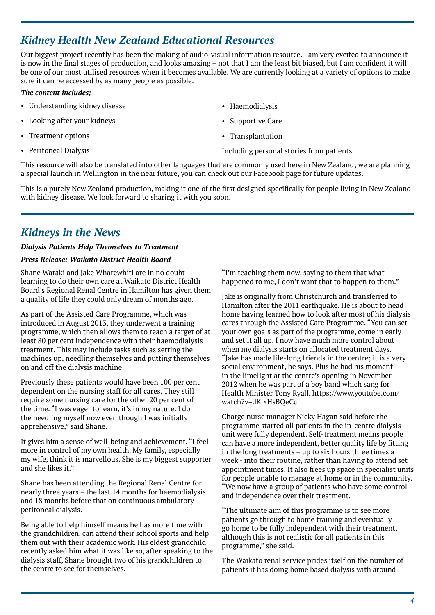# *Kidney Health New Zealand Educational Resources*

Our biggest project recently has been the making of audio-visual information resource. I am very excited to announce it is now in the final stages of production, and looks amazing – not that I am the least bit biased, but I am confident it will be one of our most utilised resources when it becomes available. We are currently looking at a variety of options to make sure it can be accessed by as many people as possible.

#### *The content includes;*

- Understanding kidney disease
- Looking after your kidneys
- Treatment options
- Peritoneal Dialysis
- Haemodialysis
- Supportive Care
- Transplantation

Including personal stories from patients

This resource will also be translated into other languages that are commonly used here in New Zealand; we are planning a special launch in Wellington in the near future, you can check out our Facebook page for future updates.

This is a purely New Zealand production, making it one of the first designed specifically for people living in New Zealand with kidney disease. We look forward to sharing it with you soon.

### *Kidneys in the News*

#### *Dialysis Patients Help Themselves to Treatment*

#### *Press Release: Waikato District Health Board*

Shane Waraki and Jake Wharewhiti are in no doubt learning to do their own care at Waikato District Health Board's Regional Renal Centre in Hamilton has given them a quality of life they could only dream of months ago.

As part of the Assisted Care Programme, which was introduced in August 2013, they underwent a training programme, which then allows them to reach a target of at least 80 per cent independence with their haemodialysis treatment. This may include tasks such as setting the machines up, needling themselves and putting themselves on and off the dialysis machine.

Previously these patients would have been 100 per cent dependent on the nursing staff for all cares. They still require some nursing care for the other 20 per cent of the time. "I was eager to learn, it's in my nature. I do the needling myself now even though I was initially apprehensive," said Shane.

It gives him a sense of well-being and achievement. "I feel more in control of my own health. My family, especially my wife, think it is marvellous. She is my biggest supporter and she likes it."

Shane has been attending the Regional Renal Centre for nearly three years – the last 14 months for haemodialysis and 18 months before that on continuous ambulatory peritoneal dialysis.

Being able to help himself means he has more time with the grandchildren, can attend their school sports and help them out with their academic work. His eldest grandchild recently asked him what it was like so, after speaking to the dialysis staff, Shane brought two of his grandchildren to the centre to see for themselves.

"I'm teaching them now, saying to them that what happened to me, I don't want that to happen to them."

Jake is originally from Christchurch and transferred to Hamilton after the 2011 earthquake. He is about to head home having learned how to look after most of his dialysis cares through the Assisted Care Programme. "You can set your own goals as part of the programme, come in early and set it all up. I now have much more control about when my dialysis starts on allocated treatment days. "Jake has made life-long friends in the centre; it is a very social environment, he says. Plus he had his moment in the limelight at the centre's opening in November 2012 when he was part of a boy band which sang for Health Minister Tony Ryall. https://www.youtube.com/ watch?v=dKlxHsBQeCc

Charge nurse manager Nicky Hagan said before the programme started all patients in the in-centre dialysis unit were fully dependent. Self-treatment means people can have a more independent, better quality life by fitting in the long treatments – up to six hours three times a week - into their routine, rather than having to attend set appointment times. It also frees up space in specialist units for people unable to manage at home or in the community. "We now have a group of patients who have some control and independence over their treatment.

"The ultimate aim of this programme is to see more patients go through to home training and eventually go home to be fully independent with their treatment, although this is not realistic for all patients in this programme," she said.

The Waikato renal service prides itself on the number of patients it has doing home based dialysis with around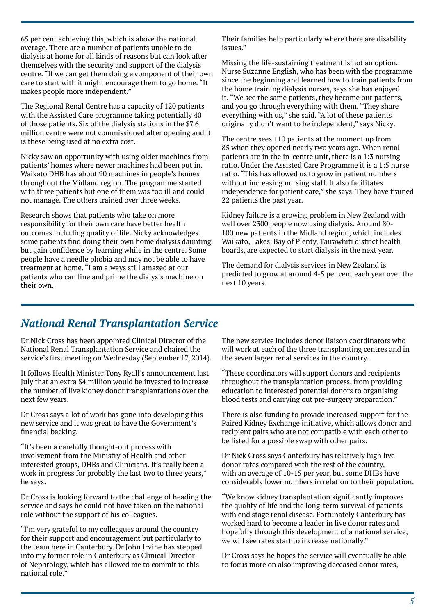65 per cent achieving this, which is above the national average. There are a number of patients unable to do dialysis at home for all kinds of reasons but can look after themselves with the security and support of the dialysis centre. "If we can get them doing a component of their own care to start with it might encourage them to go home. "It makes people more independent."

The Regional Renal Centre has a capacity of 120 patients with the Assisted Care programme taking potentially 40 of those patients. Six of the dialysis stations in the \$7.6 million centre were not commissioned after opening and it is these being used at no extra cost.

Nicky saw an opportunity with using older machines from patients' homes where newer machines had been put in. Waikato DHB has about 90 machines in people's homes throughout the Midland region. The programme started with three patients but one of them was too ill and could not manage. The others trained over three weeks.

Research shows that patients who take on more responsibility for their own care have better health outcomes including quality of life. Nicky acknowledges some patients find doing their own home dialysis daunting but gain confidence by learning while in the centre. Some people have a needle phobia and may not be able to have treatment at home. "I am always still amazed at our patients who can line and prime the dialysis machine on their own.

Their families help particularly where there are disability issues."

Missing the life-sustaining treatment is not an option. Nurse Suzanne English, who has been with the programme since the beginning and learned how to train patients from the home training dialysis nurses, says she has enjoyed it. "We see the same patients, they become our patients, and you go through everything with them. "They share everything with us," she said. "A lot of these patients originally didn't want to be independent," says Nicky.

The centre sees 110 patients at the moment up from 85 when they opened nearly two years ago. When renal patients are in the in-centre unit, there is a 1:3 nursing ratio. Under the Assisted Care Programme it is a 1:5 nurse ratio. "This has allowed us to grow in patient numbers without increasing nursing staff. It also facilitates independence for patient care," she says. They have trained 22 patients the past year.

Kidney failure is a growing problem in New Zealand with well over 2300 people now using dialysis. Around 80- 100 new patients in the Midland region, which includes Waikato, Lakes, Bay of Plenty, Tairawhiti district health boards, are expected to start dialysis in the next year.

The demand for dialysis services in New Zealand is predicted to grow at around 4-5 per cent each year over the next 10 years.

# *National Renal Transplantation Service*

Dr Nick Cross has been appointed Clinical Director of the National Renal Transplantation Service and chaired the service's first meeting on Wednesday (September 17, 2014).

It follows Health Minister Tony Ryall's announcement last July that an extra \$4 million would be invested to increase the number of live kidney donor transplantations over the next few years.

Dr Cross says a lot of work has gone into developing this new service and it was great to have the Government's financial backing.

"It's been a carefully thought-out process with involvement from the Ministry of Health and other interested groups, DHBs and Clinicians. It's really been a work in progress for probably the last two to three years," he says.

Dr Cross is looking forward to the challenge of heading the service and says he could not have taken on the national role without the support of his colleagues.

"I'm very grateful to my colleagues around the country for their support and encouragement but particularly to the team here in Canterbury. Dr John Irvine has stepped into my former role in Canterbury as Clinical Director of Nephrology, which has allowed me to commit to this national role."

The new service includes donor liaison coordinators who will work at each of the three transplanting centres and in the seven larger renal services in the country.

"These coordinators will support donors and recipients throughout the transplantation process, from providing education to interested potential donors to organising blood tests and carrying out pre-surgery preparation."

There is also funding to provide increased support for the Paired Kidney Exchange initiative, which allows donor and recipient pairs who are not compatible with each other to be listed for a possible swap with other pairs.

Dr Nick Cross says Canterbury has relatively high live donor rates compared with the rest of the country, with an average of 10-15 per year, but some DHBs have considerably lower numbers in relation to their population.

"We know kidney transplantation significantly improves the quality of life and the long-term survival of patients with end stage renal disease. Fortunately Canterbury has worked hard to become a leader in live donor rates and hopefully through this development of a national service, we will see rates start to increase nationally."

Dr Cross says he hopes the service will eventually be able to focus more on also improving deceased donor rates,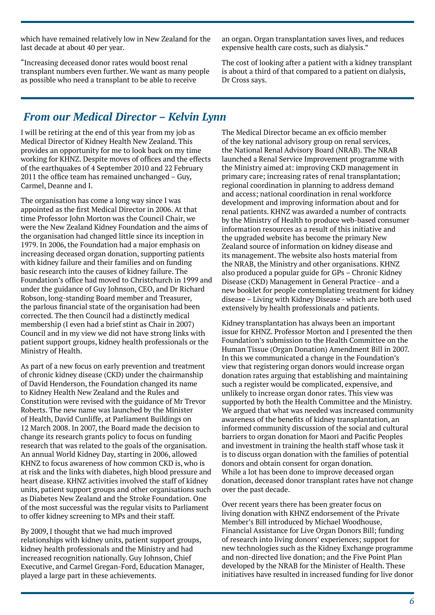which have remained relatively low in New Zealand for the last decade at about 40 per year.

"Increasing deceased donor rates would boost renal transplant numbers even further. We want as many people as possible who need a transplant to be able to receive

an organ. Organ transplantation saves lives, and reduces expensive health care costs, such as dialysis."

The cost of looking after a patient with a kidney transplant is about a third of that compared to a patient on dialysis, Dr Cross says.

# *From our Medical Director – Kelvin Lynn*

I will be retiring at the end of this year from my job as Medical Director of Kidney Health New Zealand. This provides an opportunity for me to look back on my time working for KHNZ. Despite moves of offices and the effects of the earthquakes of 4 September 2010 and 22 February 2011 the office team has remained unchanged – Guy, Carmel, Deanne and I.

The organisation has come a long way since I was appointed as the first Medical Director in 2006. At that time Professor John Morton was the Council Chair, we were the New Zealand Kidney Foundation and the aims of the organisation had changed little since its inception in 1979. In 2006, the Foundation had a major emphasis on increasing deceased organ donation, supporting patients with kidney failure and their families and on funding basic research into the causes of kidney failure. The Foundation's office had moved to Christchurch in 1999 and under the guidance of Guy Johnson, CEO, and Dr Richard Robson, long-standing Board member and Treasurer, the parlous financial state of the organisation had been corrected. The then Council had a distinctly medical membership (I even had a brief stint as Chair in 2007) Council and in my view we did not have strong links with patient support groups, kidney health professionals or the Ministry of Health.

As part of a new focus on early prevention and treatment of chronic kidney disease (CKD) under the chairmanship of David Henderson, the Foundation changed its name to Kidney Health New Zealand and the Rules and Constitution were revised with the guidance of Mr Trevor Roberts. The new name was launched by the Minister of Health, David Cunliffe, at Parliament Buildings on 12 March 2008. In 2007, the Board made the decision to change its research grants policy to focus on funding research that was related to the goals of the organisation. An annual World Kidney Day, starting in 2006, allowed KHNZ to focus awareness of how common CKD is, who is at risk and the links with diabetes, high blood pressure and heart disease. KHNZ activities involved the staff of kidney units, patient support groups and other organisations such as Diabetes New Zealand and the Stroke Foundation. One of the most successful was the regular visits to Parliament to offer kidney screening to MPs and their staff.

By 2009, I thought that we had much improved relationships with kidney units, patient support groups, kidney health professionals and the Ministry and had increased recognition nationally. Guy Johnson, Chief Executive, and Carmel Gregan-Ford, Education Manager, played a large part in these achievements.

The Medical Director became an ex officio member of the key national advisory group on renal services, the National Renal Advisory Board (NRAB). The NRAB launched a Renal Service Improvement programme with the Ministry aimed at: improving CKD management in primary care; increasing rates of renal transplantation; regional coordination in planning to address demand and access; national coordination in renal workforce development and improving information about and for renal patients. KHNZ was awarded a number of contracts by the Ministry of Health to produce web-based consumer information resources as a result of this initiative and the upgraded website has become the primary New Zealand source of information on kidney disease and its management. The website also hosts material from the NRAB, the Ministry and other organisations. KHNZ also produced a popular guide for GPs – Chronic Kidney Disease (CKD) Management in General Practice - and a new booklet for people contemplating treatment for kidney disease – Living with Kidney Disease - which are both used extensively by health professionals and patients.

Kidney transplantation has always been an important issue for KHNZ. Professor Morton and I presented the then Foundation's submission to the Health Committee on the Human Tissue (Organ Donation) Amendment Bill in 2007. In this we communicated a change in the Foundation's view that registering organ donors would increase organ donation rates arguing that establishing and maintaining such a register would be complicated, expensive, and unlikely to increase organ donor rates. This view was supported by both the Health Committee and the Ministry. We argued that what was needed was increased community awareness of the benefits of kidney transplantation, an informed community discussion of the social and cultural barriers to organ donation for Maori and Pacific Peoples and investment in training the health staff whose task it is to discuss organ donation with the families of potential donors and obtain consent for organ donation. While a lot has been done to improve deceased organ donation, deceased donor transplant rates have not change over the past decade.

Over recent years there has been greater focus on living donation with KHNZ endorsement of the Private Member's Bill introduced by Michael Woodhouse, Financial Assistance for Live Organ Donors Bill; funding of research into living donors' experiences; support for new technologies such as the Kidney Exchange programme and non-directed live donation; and the Five Point Plan developed by the NRAB for the Minister of Health. These initiatives have resulted in increased funding for live donor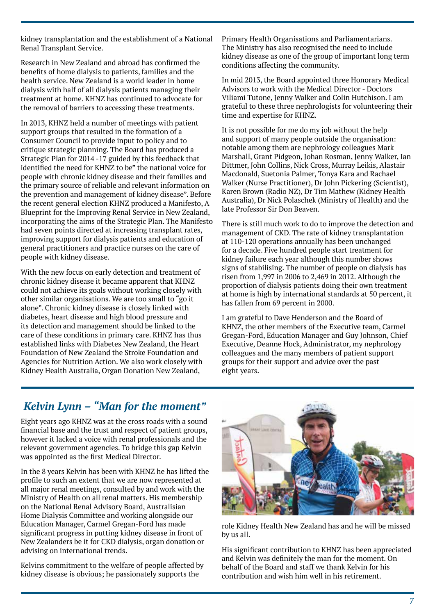kidney transplantation and the establishment of a National Renal Transplant Service.

Research in New Zealand and abroad has confirmed the benefits of home dialysis to patients, families and the health service. New Zealand is a world leader in home dialysis with half of all dialysis patients managing their treatment at home. KHNZ has continued to advocate for the removal of barriers to accessing these treatments.

In 2013, KHNZ held a number of meetings with patient support groups that resulted in the formation of a Consumer Council to provide input to policy and to critique strategic planning. The Board has produced a Strategic Plan for 2014 -17 guided by this feedback that identified the need for KHNZ to be" the national voice for people with chronic kidney disease and their families and the primary source of reliable and relevant information on the prevention and management of kidney disease". Before the recent general election KHNZ produced a Manifesto, A Blueprint for the Improving Renal Service in New Zealand, incorporating the aims of the Strategic Plan. The Manifesto had seven points directed at increasing transplant rates, improving support for dialysis patients and education of general practitioners and practice nurses on the care of people with kidney disease.

With the new focus on early detection and treatment of chronic kidney disease it became apparent that KHNZ could not achieve its goals without working closely with other similar organisations. We are too small to "go it alone". Chronic kidney disease is closely linked with diabetes, heart disease and high blood pressure and its detection and management should be linked to the care of these conditions in primary care. KHNZ has thus established links with Diabetes New Zealand, the Heart Foundation of New Zealand the Stroke Foundation and Agencies for Nutrition Action. We also work closely with Kidney Health Australia, Organ Donation New Zealand,

Primary Health Organisations and Parliamentarians. The Ministry has also recognised the need to include kidney disease as one of the group of important long term conditions affecting the community.

In mid 2013, the Board appointed three Honorary Medical Advisors to work with the Medical Director - Doctors Viliami Tutone, Jenny Walker and Colin Hutchison. I am grateful to these three nephrologists for volunteering their time and expertise for KHNZ.

It is not possible for me do my job without the help and support of many people outside the organisation: notable among them are nephrology colleagues Mark Marshall, Grant Pidgeon, Johan Rosman, Jenny Walker, Ian Dittmer, John Collins, Nick Cross, Murray Leikis, Alastair Macdonald, Suetonia Palmer, Tonya Kara and Rachael Walker (Nurse Practitioner), Dr John Pickering (Scientist), Karen Brown (Radio NZ), Dr Tim Mathew (Kidney Health Australia), Dr Nick Polaschek (Ministry of Health) and the late Professor Sir Don Beaven.

There is still much work to do to improve the detection and management of CKD. The rate of kidney transplantation at 110-120 operations annually has been unchanged for a decade. Five hundred people start treatment for kidney failure each year although this number shows signs of stabilising. The number of people on dialysis has risen from 1,997 in 2006 to 2,469 in 2012. Although the proportion of dialysis patients doing their own treatment at home is high by international standards at 50 percent, it has fallen from 69 percent in 2000.

I am grateful to Dave Henderson and the Board of KHNZ, the other members of the Executive team, Carmel Gregan-Ford, Education Manager and Guy Johnson, Chief Executive, Deanne Hock, Administrator, my nephrology colleagues and the many members of patient support groups for their support and advice over the past eight years.

# *Kelvin Lynn – "Man for the moment"*

Eight years ago KHNZ was at the cross roads with a sound financial base and the trust and respect of patient groups, however it lacked a voice with renal professionals and the relevant government agencies. To bridge this gap Kelvin was appointed as the first Medical Director.

In the 8 years Kelvin has been with KHNZ he has lifted the profile to such an extent that we are now represented at all major renal meetings, consulted by and work with the Ministry of Health on all renal matters. His membership on the National Renal Advisory Board, Australisian Home Dialysis Committee and working alongside our Education Manager, Carmel Gregan-Ford has made significant progress in putting kidney disease in front of New Zealanders be it for CKD dialysis, organ donation or advising on international trends.

Kelvins commitment to the welfare of people affected by kidney disease is obvious; he passionately supports the



role Kidney Health New Zealand has and he will be missed by us all.

His significant contribution to KHNZ has been appreciated and Kelvin was definitely the man for the moment. On behalf of the Board and staff we thank Kelvin for his contribution and wish him well in his retirement.